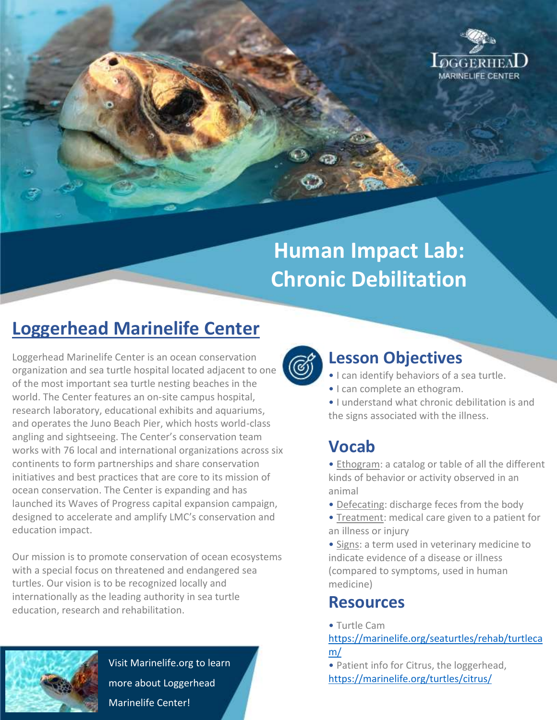

# **Human Impact Lab: Chronic Debilitation**

## **Loggerhead Marinelife Center**

Loggerhead Marinelife Center is an ocean conservation organization and sea turtle hospital located adjacent to one of the most important sea turtle nesting beaches in the world. The Center features an on-site campus hospital, research laboratory, educational exhibits and aquariums, and operates the Juno Beach Pier, which hosts world-class angling and sightseeing. The Center's conservation team works with 76 local and international organizations across six continents to form partnerships and share conservation initiatives and best practices that are core to its mission of ocean conservation. The Center is expanding and has launched its Waves of Progress capital expansion campaign, designed to accelerate and amplify LMC's conservation and education impact.

Our mission is to promote conservation of ocean ecosystems with a special focus on threatened and endangered sea turtles. Our vision is to be recognized locally and internationally as the leading authority in sea turtle education, research and rehabilitation.



Visit Marinelife.org to learn more about Loggerhead Marinelife Center!



#### **Lesson Objectives**

- I can identify behaviors of a sea turtle.
- I can complete an ethogram.
- I understand what chronic debilitation is and the signs associated with the illness.

#### **Vocab**

• Ethogram: a catalog or table of all the different kinds of behavior or activity observed in an animal

- Defecating: discharge feces from the body
- Treatment: medical care given to a patient for an illness or injury
- Signs: a term used in veterinary medicine to indicate evidence of a disease or illness (compared to symptoms, used in human medicine)

#### **Resources**

• Turtle Cam

[https://marinelife.org/seaturtles/rehab/turtleca](https://marinelife.org/seaturtles/rehab/turtlecam/) [m/](https://marinelife.org/seaturtles/rehab/turtlecam/)

• Patient info for Citrus, the loggerhead, <https://marinelife.org/turtles/citrus/>